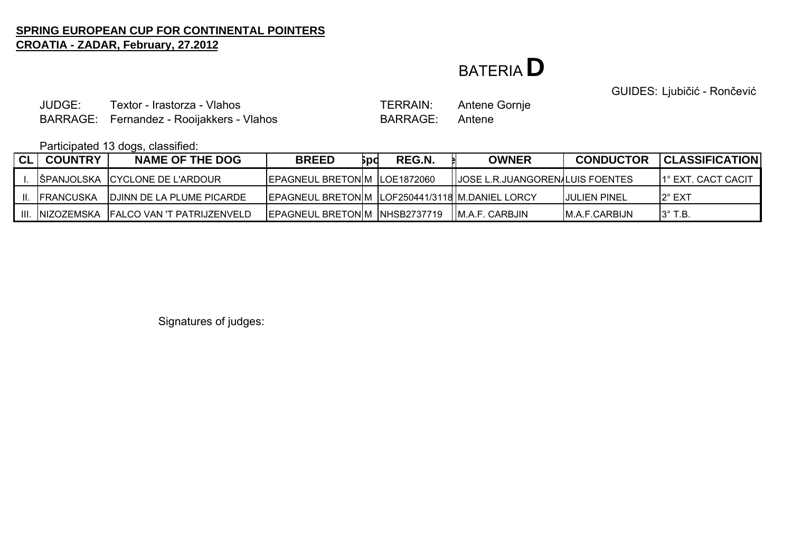### BATERIA**D**

GUIDES: Ljubičić - Rončević

JUDGE: Textor - Irastorza - VlahosBARRAGE: Fernandez - Rooijakkers - Vlahos BARRAGE: Antene

TERRAIN: Antene Gornje

Participated 13 dogs, classified:

| <b>CL</b> | <b>COUNTRY</b> | <b>NAME OF THE DOG</b>                       | <b>BREED</b>                                        | Бpd | REG.N. | <b>OWNER</b>                             | <b>CONDUCTOR</b>     | <b>CLASSIFICATION</b> |
|-----------|----------------|----------------------------------------------|-----------------------------------------------------|-----|--------|------------------------------------------|----------------------|-----------------------|
|           |                | IŠPANJOLSKA ICYCLONE DE L'ARDOUR             | <b>IEPAGNEUL BRETONIM ILOE1872060</b>               |     |        | <b>IIJOSE L.R.JUANGOREN/LUIS FOENTES</b> |                      | 1° EXT. CACT CACIT    |
| Ш.        | IFRANCUSKA     | IDJINN DE LA PLUME PICARDE                   | EPAGNEUL BRETONIM   LOF250441/3118   M.DANIEL LORCY |     |        |                                          | <b>IJULIEN PINEL</b> | $2^\circ$ EXT         |
|           |                | III. INIZOZEMSKA IFALCO VAN 'T PATRIJZENVELD | EPAGNEUL BRETONIM INHSB2737719 IIM.A.F. CARBJIN     |     |        |                                          | IM.A.F.CARBIJN       | $13^\circ$ T.B.       |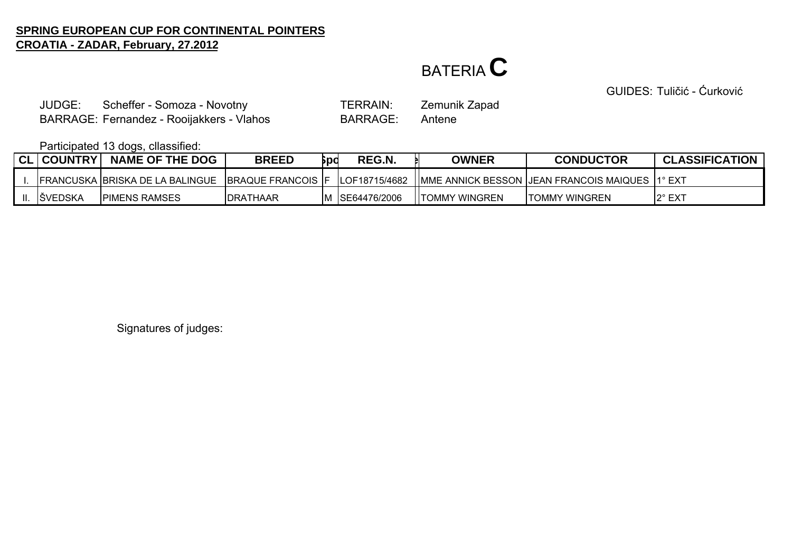# BATERIA**C**

GUIDES: Tuličić - Ćurković

JUDGE:Scheffer - Somoza - Novotny TERRAIN: Zemunik Zapad BARRAGE: Fernandez - Rooijakkers - Vlahos BARRAGE: Antene

Participated 13 dogs, cllassified:

| CL   COUNTRY   | <b>NAME OF THE DOG</b> | <b>BREED</b> | Spc | REG.N.         | <b>OWNER</b>    | <b>CONDUCTOR</b>                                                                                                       | <b>CLASSIFICATION</b> |
|----------------|------------------------|--------------|-----|----------------|-----------------|------------------------------------------------------------------------------------------------------------------------|-----------------------|
|                |                        |              |     |                |                 | TERANCUSKA BRISKA DE LA BALINGUE TBRAQUE FRANCOIS TF TLOF18715/4682 TIMME ANNICK BESSON JJEAN FRANCOIS MAIQUES T1° EXT |                       |
| <b>SVEDSKA</b> | <b>PIMENS RAMSES</b>   | IDRATHAAR    |     | M SE64476/2006 | IITOMMY WINGREN | <b>TOMMY WINGREN</b>                                                                                                   | $2^{\circ}$ EX1       |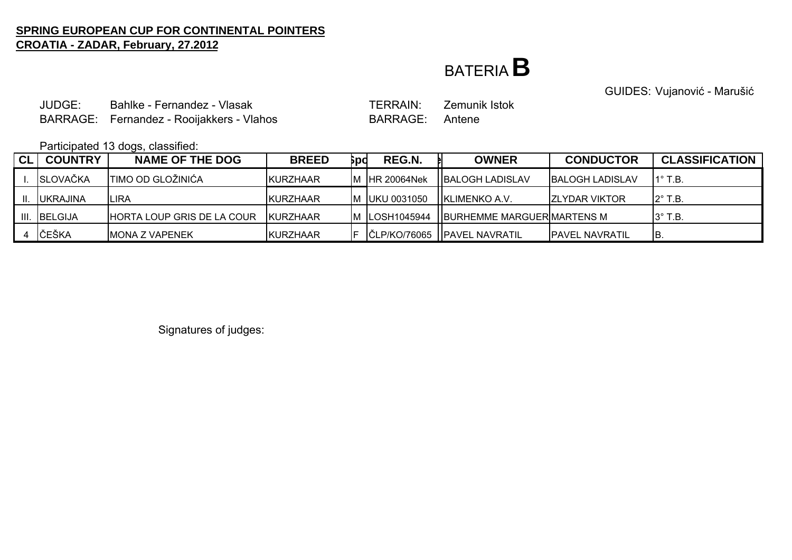## BATERIA**B**

GUIDES: Vujanović - Marušić

JUDGE: Bahlke - Fernandez - VlasakBARRAGE: Fernandez - Rooijakkers - Vlahos BARRAGE: Antene

TERRAIN: Zemunik Istok

Participated 13 dogs, classified:

| <b>CL</b> | <b>COUNTRY</b>  | ີ<br><b>NAME OF THE DOG</b> | <b>BREED</b>     | Брс | REG.N.          | <b>OWNER</b>                       | <b>CONDUCTOR</b>        | <b>CLASSIFICATION</b> |
|-----------|-----------------|-----------------------------|------------------|-----|-----------------|------------------------------------|-------------------------|-----------------------|
|           | <b>SLOVAČKA</b> | <b>TIMO OD GLOŽINIĆA</b>    | <b>KURZHAAR</b>  |     | IM IHR 20064Nek | <b>IIBALOGH LADISLAV</b>           | <b>IBALOGH LADISLAV</b> | $11^\circ$ T.B.       |
|           | <b>UKRAJINA</b> | <b>LIRA</b>                 | <b>IKURZHAAR</b> |     | M UKU 0031050   | <b>HKLIMENKO A.V.</b>              | <b>IZLYDAR VIKTOR</b>   | $12^\circ$ T.B.       |
| III.      | <b>IBELGIJA</b> | HORTA LOUP GRIS DE LA COUR  | <b>KURZHAAR</b>  |     | M LOSH1045944   | <b>IBURHEMME MARGUER MARTENS M</b> |                         | $3^\circ$ T.B.        |
|           | ČEŠKA           | <b>IMONA Z VAPENEK</b>      | KURZHAAR         |     |                 | ČLP/KO/76065   PAVEL NAVRATIL      | <b>PAVEL NAVRATIL</b>   | IB.                   |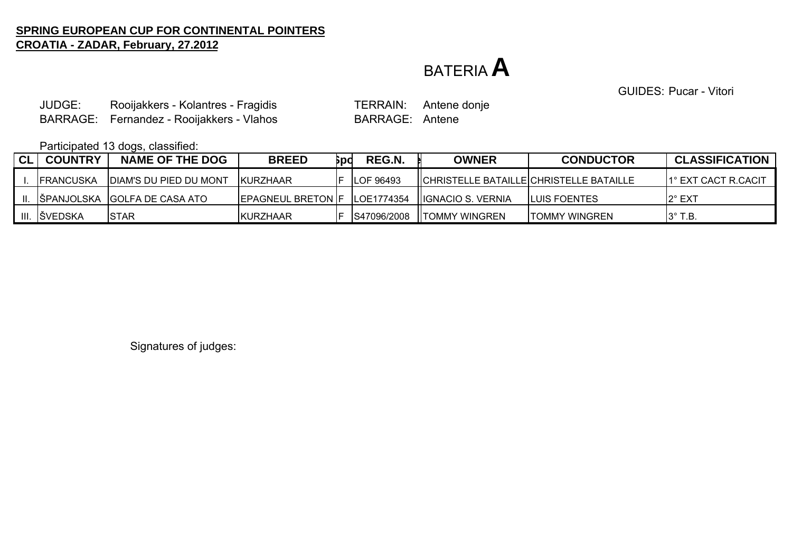### BATERIA**A**

GUIDES: Pucar - Vitori

JUDGE:Rooijakkers - Kolantres - Fragidis TERRAIN: Antene donje BARRAGE: Fernandez - Rooijakkers - Vlahos BARRAGE: Antene BARRAGE:

Participated 13 dogs, classified:

| CL | <b>COUNTRY</b>    | <b>NAME OF THE DOG</b>            | <b>BREED</b>               | bpd | REG.N.            | OWNER                                    | <b>CONDUCTOR</b>     | <b>CLASSIFICATION</b> |
|----|-------------------|-----------------------------------|----------------------------|-----|-------------------|------------------------------------------|----------------------|-----------------------|
|    | <b>IFRANCUSKA</b> | <b>IDIAM'S DU PIED DU MONT</b>    | IKURZHAAR                  |     | <b>ILOF 96493</b> | ICHRISTELLE BATAILLEICHRISTELLE BATAILLE |                      | 11° EXT CACT R.CACIT  |
|    |                   | II. SPPANJOLSKA GOLFA DE CASA ATO | <b>IEPAGNEUL BRETON IF</b> |     | LOE1774354        | <b>IIIGNACIO S. VERNIA</b>               | <b>ILUIS FOENTES</b> | I2° EXT               |
|    | III. SVEDSKA      | <b>ISTAR</b>                      | KURZHAAR                   |     | S47096/2008       | <b>ITOMMY WINGREN</b>                    | <b>TOMMY WINGREN</b> | $3^\circ$ T.B.        |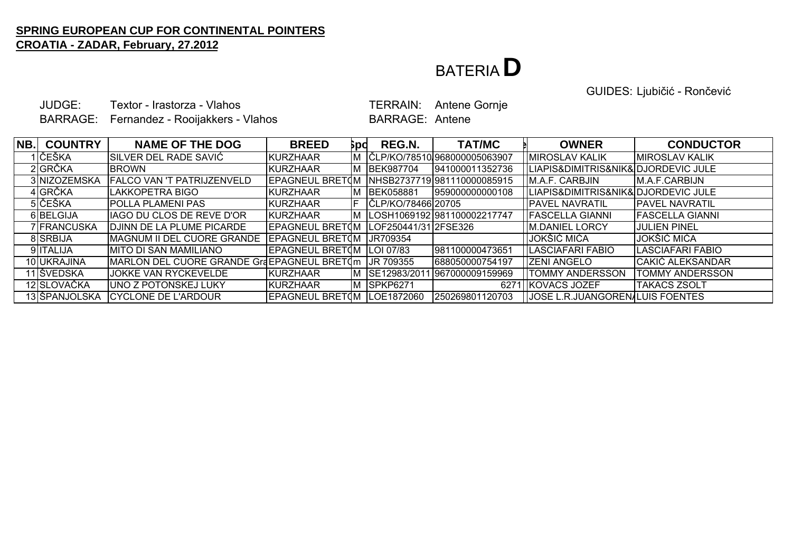## BATERIA**D**

GUIDES: Ljubičić - Rončević

JUDGE: Textor - Irastorza - VlahosBARRAGE: Fernandez - Rooijakkers - Vlahos BARRAGE: Antene

TERRAIN: Antene Gornje

| NB. | <b>COUNTRY</b> | <b>NAME OF THE DOG</b>                                 | <b>BREED</b>                | δpd | REG.N.               | <b>TAT/MC</b>                  | <b>OWNER</b>                            | <b>CONDUCTOR</b>       |
|-----|----------------|--------------------------------------------------------|-----------------------------|-----|----------------------|--------------------------------|-----------------------------------------|------------------------|
|     | 1  ČEŠKA       | SILVER DEL RADE SAVIĆ                                  | KURZHAAR                    | IΜ  |                      | IČLP/KO/78510I968000005063907  | <b>IMIROSLAV KALIK</b>                  | <b>IMIROSLAV KALIK</b> |
|     | 2 GRČKA        | <b>BROWN</b>                                           | KURZHAAR                    | ΙM  | <b>BEK987704</b>     | 941000011352736                | LIAPIS&DIMITRIS&NIK&DJORDEVIC JULE      |                        |
|     | 3 NIZOZEMSKA   | <b>FALCO VAN 'T PATRIJZENVELD</b>                      | <b>EPAGNEUL BRETOM</b>      |     |                      | INHSB27377191981110000085915   | M.A.F. CARBJIN                          | M.A.F.CARBIJN          |
|     | 4 GRČKA        | LAKKOPETRA BIGO                                        | KURZHAAR                    |     | <b>BEK058881</b>     | 959000000000108                | LIAPIS&DIMITRIS&NIK&DJORDEVIC JULE      |                        |
|     | 5 ČEŠKA        | <b>IPOLLA PLAMENI PAS</b>                              | <b>KURZHAAR</b>             |     | ČLP/KO/78466 20705   |                                | <b>PAVEL NAVRATIL</b>                   | <b>IPAVEL NAVRATIL</b> |
|     | 6BELGIJA       | IAGO DU CLOS DE REVE D'OR                              | <b>KURZHAAR</b>             |     |                      | M  LOSH1069192 981100002217747 | <b>FASCELLA GIANNI</b>                  | <b>FASCELLA GIANNI</b> |
|     | 7 FRANCUSKA    | DJINN DE LA PLUME PICARDE                              | <b>EPAGNEUL BRETOM</b>      |     | LOF250441/31 2FSE326 |                                | <b>IM.DANIEL LORCY</b>                  | <b>JULIEN PINEL</b>    |
|     | 8 SRBIJA       | <b>MAGNUM II DEL CUORE GRANDE</b>                      | EPAGNEUL BRETOM             |     | UR709354             |                                | <b>JOKŠIĆ MIĆA</b>                      | JOKŠIĆ MIĆA            |
|     | 9 ITALIJA      | MITO DI SAN MAMILIANO                                  | EPAGNEUL BRETOM   LOI 07/83 |     |                      | 981100000473651                | LASCIAFARI FABIO                        | LASCIAFARI FABIO       |
|     | 10 UKRAJINA    | MARLON DEL CUORE GRANDE GraEPAGNEUL BRETOm   JR 709355 |                             |     |                      | 688050000754197                | <b>IZENI ANGELO</b>                     | CAKIĆ ALEKSANDAR       |
|     | 11 ŠVEDSKA     | <b>JOKKE VAN RYCKEVELDE</b>                            | <b>KURZHAAR</b>             | ΙM  | SE12983/2011         | 967000009159969                | <b>TOMMY ANDERSSON</b>                  | <b>TOMMY ANDERSSON</b> |
|     | 12 SLOVAČKA    | UNO Z POTONSKEJ LUKY                                   | KURZHAAR                    | Iм  | SPKP6271             | 6271                           | <b>HKOVACS JOZEF</b>                    | <b>TAKACS ZSOLT</b>    |
|     | 13 ŠPANJOLSKA  | <b>CYCLONE DE L'ARDOUR</b>                             | EPAGNEUL BRET(M             |     | LOE1872060           | 250269801120703                | <b>JJOSE L.R.JUANGORENALUIS FOENTES</b> |                        |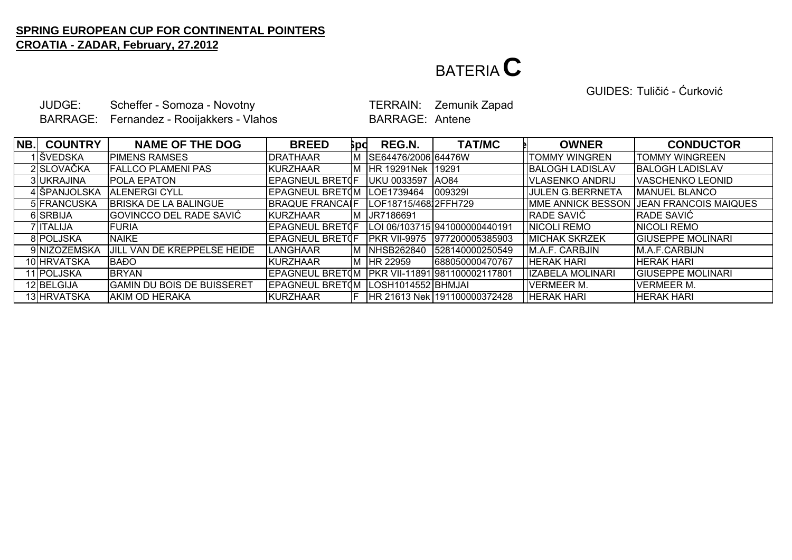## BATERIA**C**

GUIDES: Tuličić - Ćurković

JUDGE:Scheffer - Somoza - Novotny TERRAIN: Zemunik Zapad BARRAGE: Fernandez - Rooijakkers - Vlahos BARRAGE: Antene

| NB. | <b>COUNTRY</b> | <b>NAME OF THE DOG</b>            | <b>BREED</b>           | Брd | REG.N.               | <b>TAT/MC</b>                 | <b>OWNER</b>            | <b>CONDUCTOR</b>                                |
|-----|----------------|-----------------------------------|------------------------|-----|----------------------|-------------------------------|-------------------------|-------------------------------------------------|
|     | 1 IŠVEDSKA     | <b>PIMENS RAMSES</b>              | <b>IDRATHAAR</b>       | ıм  | SE64476/2006 64476W  |                               | <b>TOMMY WINGREN</b>    | <b>ITOMMY WINGREEN</b>                          |
|     | 2 SLOVAČKA     | <b>FALLCO PLAMENI PAS</b>         | KURZHAAR               | ΙM  | <b>HR 19291Nek</b>   | 19291                         | <b>BALOGH LADISLAV</b>  | <b>BALOGH LADISLAV</b>                          |
|     | 3UKRAJINA      | <b>IPOLA EPATON</b>               | <b>EPAGNEUL BRETOF</b> |     | <b>UKU 0033597</b>   | <b>AO84</b>                   | VLASENKO ANDRIJ         | <b>VASCHENKO LEONID</b>                         |
|     | 4 ŠPANJOLSKA   | <b>IALENERGI CYLL</b>             | <b>EPAGNEUL BRETOM</b> |     | LOE1739464           | 0093291                       | <b>JULEN G.BERRNETA</b> | <b>IMANUEL BLANCO</b>                           |
|     | 5 FRANCUSKA    | <b>BRISKA DE LA BALINGUE</b>      | <b>BRAQUE FRANCALF</b> |     | LOF18715/46812FFH729 |                               |                         | <b>IMME ANNICK BESSON JEAN FRANCOIS MAIQUES</b> |
|     | 6 SRBIJA       | GOVINCCO DEL RADE SAVIĆ           | <b>IKURZHAAR</b>       | ıм  | UR7186691            |                               | <b>RADE SAVIĆ</b>       | RADE SAVIĆ                                      |
|     | 7 ITALIJA      | IFURIA                            | <b>EPAGNEUL BRETOF</b> |     |                      | LOI 06/103715 941000000440191 | NICOLI REMO             | NICOLI REMO                                     |
|     | 8 POLJSKA      | <b>NAIKE</b>                      | <b>EPAGNEUL BRETOF</b> |     | <b>PKR VII-9975</b>  | 977200005385903               | <b>MICHAK SKRZEK</b>    | <b>GIUSEPPE MOLINARI</b>                        |
|     | 9 NIZOZEMSKA   | JILL VAN DE KREPPELSE HEIDE       | <b>LANGHAAR</b>        |     | <b>INHSB262840</b>   | 528140000250549               | IM.A.F. CARBJIN         | <b>M.A.F.CARBIJN</b>                            |
|     | 10 HRVATSKA    | <b>BADO</b>                       | KURZHAAR               | ΙM  | HR 22959             | 688050000470767               | <b>HERAK HARI</b>       | <b>HERAK HARI</b>                               |
|     | 11 POLJSKA     | <b>IBRYAN</b>                     | <b>EPAGNEUL BRETOM</b> |     |                      | PKR VII-11891 981100002117801 | <b>IZABELA MOLINARI</b> | <b>GIUSEPPE MOLINARI</b>                        |
|     | 12 BELGIJA     | <b>GAMIN DU BOIS DE BUISSERET</b> | EPAGNEUL BRETOM        |     | LOSH1014552 BHMJAI   |                               | <b>VERMEER M.</b>       | <b>VERMEER M.</b>                               |
|     | 13 HRVATSKA    | AKIM OD HERAKA                    | KURZHAAR               |     |                      | HR 21613 Nek 191100000372428  | <b>HERAK HARI</b>       | <b>HERAK HARI</b>                               |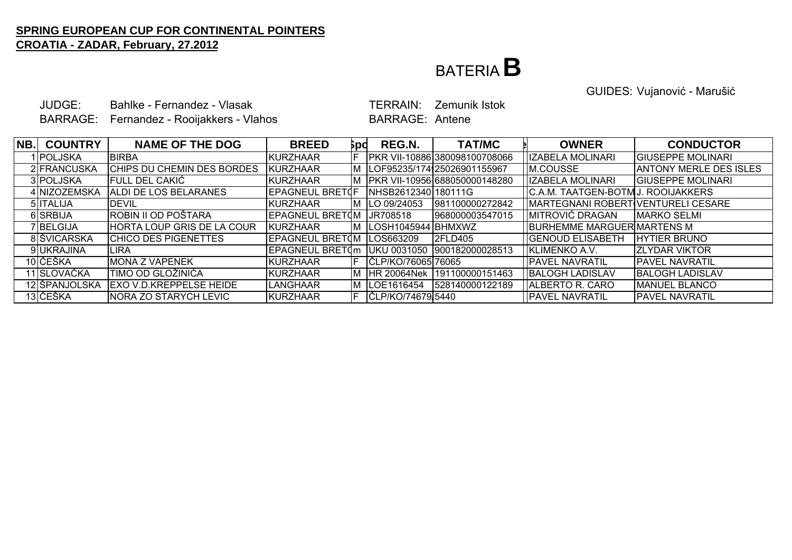### BATERIA**B**

GUIDES: Vujanović - Marušić

JUDGE: Bahlke - Fernandez - VlasakBARRAGE: Fernandez - Rooijakkers - Vlahos BARRAGE: Antene

TERRAIN: Zemunik Istok

| NB. | <b>COUNTRY</b>   | <b>NAME OF THE DOG</b>             | <b>BREED</b>           | βpd | REG.N.              | <b>TAT/MC</b>                 | <b>OWNER</b>                       | <b>CONDUCTOR</b>              |
|-----|------------------|------------------------------------|------------------------|-----|---------------------|-------------------------------|------------------------------------|-------------------------------|
|     | IIPOLJSKA        | <b>BIRBA</b>                       | <b>KURZHAAR</b>        |     |                     | PKR VII-10886 380098100708066 | <b>IZABELA MOLINARI</b>            | <b>GIUSEPPE MOLINARI</b>      |
|     | 2 FRANCUSKA      | CHIPS DU CHEMIN DES BORDES         | KURZHAAR               | ΙM  |                     | LOF95235/174125026901155967   | M.COUSSE                           | <b>ANTONY MERLE DES ISLES</b> |
|     | 3 POLJSKA        | <b>FULL DEL CAKIĆ</b>              | <b>KURZHAAR</b>        | IΜ  |                     | PKR VII-10956 688050000148280 | <b>IZABELA MOLINARI</b>            | <b>GIUSEPPE MOLINARI</b>      |
|     | 4 NIZOZEMSKA     | ALDI DE LOS BELARANES              | <b>EPAGNEUL BRETOF</b> |     | NHSB2612340 180111G |                               | C.A.M. TAATGEN-BOTMU. ROOIJAKKERS  |                               |
|     | 5 <b>ITALIJA</b> | <b>IDEVIL</b>                      | <b>KURZHAAR</b>        | ΙM  | LO 09/24053         | 981100000272842               | MARTEGNANI ROBERT VENTURELI CESARE |                               |
|     | 6 SRBIJA         | ROBIN II OD POŠTARA                | <b>EPAGNEUL BRETOM</b> |     | UR708518            | 968000003547015               | MITROVIĆ DRAGAN                    | <b>IMARKO SELMI</b>           |
|     | 7BELGIJA         | <b>IHORTA LOUP GRIS DE LA COUR</b> | <b>IKURZHAAR</b>       | ΙM  | ILOSH1045944 BHMXWZ |                               | BURHEMME MARGUER MARTENS M         |                               |
|     | 8 ŠVICARSKA      | <b>CHICO DES PIGENETTES</b>        | <b>EPAGNEUL BRETOM</b> |     | LOS663209           | <b>2FLD405</b>                | <b>GENOUD ELISABETH</b>            | <b>IHYTIER BRUNO</b>          |
|     | 9UKRAJINA        | ILIRA                              | EPAGNEUL BRETOm        |     | UKU 0031050         | 900182000028513               | KLIMENKO A.V.                      | <b>IZLYDAR VIKTOR</b>         |
|     | 10 ČEŠKA         | <b>MONA Z VAPENEK</b>              | KURZHAAR               |     | ČLP/KO/76065 76065  |                               | <b>IPAVEL NAVRATIL</b>             | <b>PAVEL NAVRATIL</b>         |
|     | 11 SLOVAČKA      | 'TIMO OD GLOŽINIĆA                 | KURZHAAR               | ΙM  | <b>HR 20064Nek</b>  | 191100000151463               | <b>BALOGH LADISLAV</b>             | <b>BALOGH LADISLAV</b>        |
|     | 12 ŠPANJOLSKA    | IEXO V.D.KREPPELSE HEIDE           | <b>ILANGHAAR</b>       | ΙM  | LOE1616454          | 528140000122189               | <b>JALBERTO R. CARO</b>            | <b>IMANUEL BLANCO</b>         |
|     | 13 IČEŠKA        | <b>INORA ZO STARYCH LEVIC</b>      | KURZHAAR               |     | ČLP/KO/74679.5440   |                               | <b>FAVEL NAVRATIL</b>              | <b>PAVEL NAVRATIL</b>         |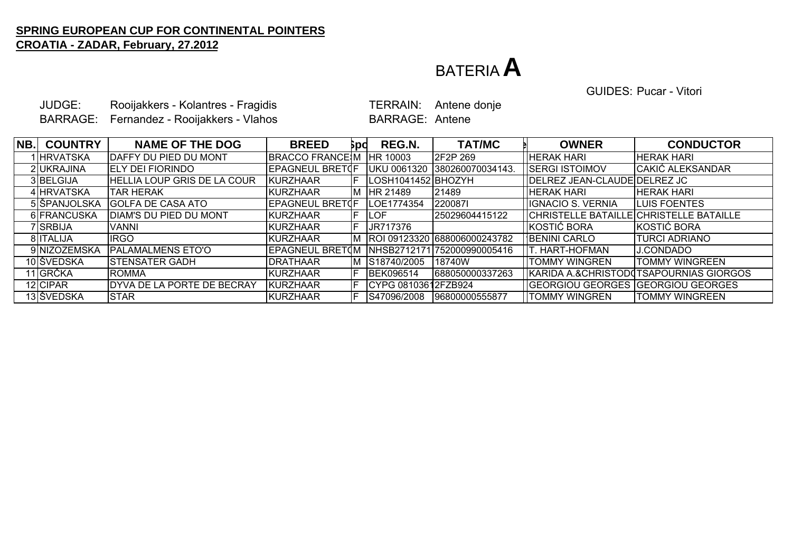### BATERIA**A**

GUIDES: Pucar - Vitori

|     | JUDGE:<br><b>BARRAGE:</b> | Rooijakkers - Kolantres - Fragidis<br>Fernandez - Rooijakkers - Vlahos |                        |     | <b>TERRAIN:</b><br><b>BARRAGE: Antene</b> | Antene donje                    |                                         |                                        |
|-----|---------------------------|------------------------------------------------------------------------|------------------------|-----|-------------------------------------------|---------------------------------|-----------------------------------------|----------------------------------------|
| NB. | <b>COUNTRY</b>            | <b>NAME OF THE DOG</b>                                                 | <b>BREED</b>           | pd  | REG.N.                                    | <b>TAT/MC</b>                   | <b>OWNER</b>                            | <b>CONDUCTOR</b>                       |
|     | <b>HRVATSKA</b>           | DAFFY DU PIED DU MONT                                                  | <b>BRACCO FRANCE M</b> |     | HR 10003                                  | 2F2P 269                        | <b>HERAK HARI</b>                       | <b>HERAK HARI</b>                      |
|     | 2 UKRAJINA                | <b>ELY DEI FIORINDO</b>                                                | EPAGNEUL BRETOF        |     |                                           | UKU 0061320 380260070034143.    | <b>SERGI ISTOIMOV</b>                   | CAKIĆ ALEKSANDAR                       |
|     | 3BELGIJA                  | <b>HELLIA LOUP GRIS DE LA COUR</b>                                     | <b>KURZHAAR</b>        |     | LOSH1041452 BHOZYH                        |                                 | DELREZ JEAN-CLAUDE DELREZ JC            |                                        |
|     | 4 HRVATSKA                | <b>TAR HERAK</b>                                                       | KURZHAAR               |     | M HR 21489                                | 21489                           | <b>HERAK HARI</b>                       | <b>HERAK HARI</b>                      |
|     | 5 ŠPANJOLSKA              | <b>GOLFA DE CASA ATO</b>                                               | EPAGNEUL BRETOF        |     | LOE1774354                                | 2200871                         | <b>IGNACIO S. VERNIA</b>                | LUIS FOENTES                           |
|     | 6 FRANCUSKA               | DIAM'S DU PIED DU MONT                                                 | <b>KURZHAAR</b>        |     | <b>LOF</b>                                | 25029604415122                  | CHRISTELLE BATAILLE CHRISTELLE BATAILLE |                                        |
|     | 7 SRBIJA                  | <b>VANNI</b>                                                           | <b>KURZHAAR</b>        | IF. | JR717376                                  |                                 | KOSTIĆ BORA                             | KOSTIĆ BORA                            |
|     | 8 ITALIJA                 | <b>IRGO</b>                                                            | <b>KURZHAAR</b>        |     |                                           | M  ROI 09123320 688006000243782 | <b>BENINI CARLO</b>                     | <b>TURCI ADRIANO</b>                   |
|     | 9 NIZOZEMSKA              | <b>PALAMALMENS ETO'O</b>                                               | <b>EPAGNEUL BRETOM</b> |     |                                           | NHSB2712171 752000990005416     | <b>T. HART-HOFMAN</b>                   | <b>J.CONDADO</b>                       |
|     | 10 ŠVEDSKA                | <b>STENSATER GADH</b>                                                  | <b>DRATHAAR</b>        |     | M S18740/2005                             | <b>18740W</b>                   | <b>TOMMY WINGREN</b>                    | <b>TOMMY WINGREEN</b>                  |
|     | 11 GRČKA                  | <b>ROMMA</b>                                                           | <b>KURZHAAR</b>        |     | <b>BEK096514</b>                          | 688050000337263                 |                                         | KARIDA A.&CHRISTODOTSAPOURNIAS GIORGOS |
|     | 12 CIPAR                  | DYVA DE LA PORTE DE BECRAY                                             | KURZHAAR               |     | CYPG 08103612FZB924                       |                                 | GEORGIOU GEORGES GEORGIOU GEORGES       |                                        |
|     | 13 ŠVEDSKA                | <b>STAR</b>                                                            | <b>KURZHAAR</b>        | IF. | S47096/2008                               | 96800000555877                  | <b>TOMMY WINGREN</b>                    | <b>TOMMY WINGREEN</b>                  |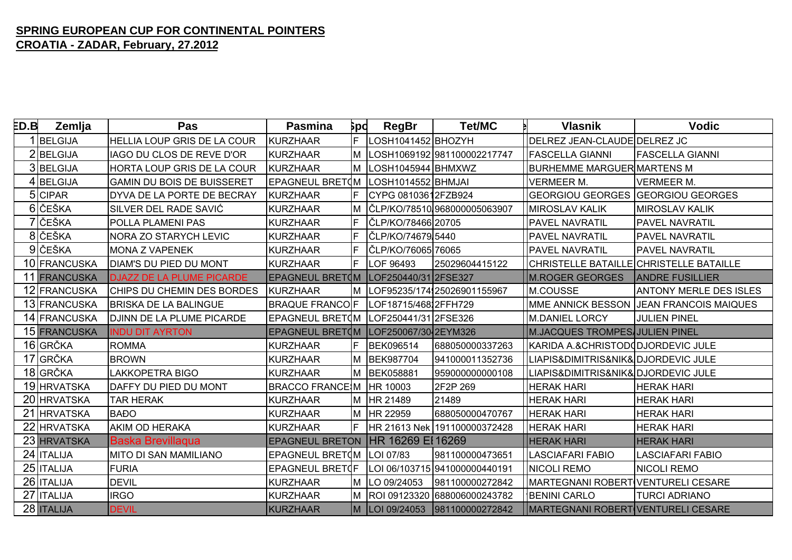| ED.B | Zemlja       | Pas                                | <b>Pasmina</b>         | <b>Spd</b> | <b>RegBr</b>         | <b>Tet/MC</b>                 | <b>Vlasnik</b>                            | <b>Vodic</b>                            |
|------|--------------|------------------------------------|------------------------|------------|----------------------|-------------------------------|-------------------------------------------|-----------------------------------------|
|      | 1BELGIJA     | <b>HELLIA LOUP GRIS DE LA COUR</b> | KURZHAAR               |            | LOSH1041452 BHOZYH   |                               | DELREZ JEAN-CLAUDE DELREZ JC              |                                         |
|      | 2BELGIJA     | IAGO DU CLOS DE REVE D'OR          | KURZHAAR               |            |                      | LOSH1069192 981100002217747   | <b>FASCELLA GIANNI</b>                    | <b>FASCELLA GIANNI</b>                  |
|      | 3BELGIJA     | HORTA LOUP GRIS DE LA COUR         | KURZHAAR               |            | LOSH1045944 BHMXWZ   |                               | <b>BURHEMME MARGUER MARTENS M</b>         |                                         |
|      | 4BELGIJA     | <b>GAMIN DU BOIS DE BUISSERET</b>  | EPAGNEUL BRETOM        |            | LOSH1014552 BHMJAI   |                               | <b>VERMEER M.</b>                         | <b>VERMEER M.</b>                       |
|      | 5 CIPAR      | DYVA DE LA PORTE DE BECRAY         | KURZHAAR               |            | CYPG 08103612FZB924  |                               | <b>GEORGIOU GEORGES</b>                   | <b>GEORGIOU GEORGES</b>                 |
|      | 6 ČEŠKA      | SILVER DEL RADE SAVIĆ              | <b>KURZHAAR</b>        |            |                      | ČLP/KO/78510.968000005063907  | <b>MIROSLAV KALIK</b>                     | <b>MIROSLAV KALIK</b>                   |
|      | 7 ČEŠKA      | <b>POLLA PLAMENI PAS</b>           | <b>KURZHAAR</b>        |            | ČLP/KO/78466 20705   |                               | <b>PAVEL NAVRATIL</b>                     | <b>PAVEL NAVRATIL</b>                   |
|      | 8 ČEŠKA      | <b>NORA ZO STARYCH LEVIC</b>       | <b>KURZHAAR</b>        |            | ČLP/KO/74679 5440    |                               | <b>PAVEL NAVRATIL</b>                     | <b>PAVEL NAVRATIL</b>                   |
|      | 9 ČEŠKA      | <b>MONA Z VAPENEK</b>              | <b>KURZHAAR</b>        |            | ČLP/KO/76065 76065   |                               | <b>PAVEL NAVRATIL</b>                     | <b>PAVEL NAVRATIL</b>                   |
|      | 10 FRANCUSKA | <b>DIAM'S DU PIED DU MONT</b>      | <b>KURZHAAR</b>        |            | LOF 96493            | 25029604415122                | CHRISTELLE BATAILLE CHRISTELLE BATAILLE   |                                         |
|      | 11 FRANCUSKA | <b>DJAZZ DE LA PLUME PICARDE</b>   | EPAGNEUL BRETOM        |            | LOF250440/31 2FSE327 |                               | <b>M.ROGER GEORGES</b>                    | <b>ANDRE FUSILLIER</b>                  |
|      | 12 FRANCUSKA | CHIPS DU CHEMIN DES BORDES         | KURZHAAR               |            |                      | LOF95235/174, 25026901155967  | M.COUSSE                                  | <b>ANTONY MERLE DES ISLES</b>           |
|      | 13 FRANCUSKA | <b>BRISKA DE LA BALINGUE</b>       | <b>BRAQUE FRANCOF</b>  |            | LOF18715/46812FFH729 |                               |                                           | MME ANNICK BESSON JEAN FRANCOIS MAIQUES |
|      | 14 FRANCUSKA | <b>JOJINN DE LA PLUME PICARDE</b>  | EPAGNEUL BRETOM        |            | LOF250441/31 2FSE326 |                               | M.DANIEL LORCY                            | <b>JULIEN PINEL</b>                     |
|      | 15 FRANCUSKA | <b>INDU DIT AYRTON</b>             | EPAGNEUL BRETOM        |            | LOF250067/30 2EYM326 |                               | M.JACQUES TROMPES JULIEN PINEL            |                                         |
|      | 16 GRČKA     | <b>ROMMA</b>                       | <b>KURZHAAR</b>        |            | <b>BEK096514</b>     | 688050000337263               | KARIDA A.& CHRISTOD (DJORDEVIC JULE       |                                         |
|      | 17 GRČKA     | <b>BROWN</b>                       | <b>KURZHAAR</b>        |            | <b>BEK987704</b>     | 941000011352736               | LIAPIS&DIMITRIS&NIK&DJORDEVIC JULE        |                                         |
|      | 18 GRČKA     | <b>LAKKOPETRA BIGO</b>             | <b>KURZHAAR</b>        |            | <b>BEK058881</b>     | 959000000000108               | LIAPIS&DIMITRIS&NIK&DJORDEVIC JULE        |                                         |
|      | 19 HRVATSKA  | DAFFY DU PIED DU MONT              | <b>BRACCO FRANCE M</b> |            | HR 10003             | 2F2P 269                      | <b>HERAK HARI</b>                         | <b>HERAK HARI</b>                       |
|      | 20 HRVATSKA  | <b>TAR HERAK</b>                   | <b>KURZHAAR</b>        |            | HR 21489             | 21489                         | <b>HERAK HARI</b>                         | <b>HERAK HARI</b>                       |
|      | 21 HRVATSKA  | <b>BAĐO</b>                        | <b>KURZHAAR</b>        |            | HR 22959             | 688050000470767               | <b>HERAK HARI</b>                         | <b>HERAK HARI</b>                       |
|      | 22 HRVATSKA  | <b>AKIM OD HERAKA</b>              | <b>KURZHAAR</b>        |            |                      | HR 21613 Nek 191100000372428  | <b>HERAK HARI</b>                         | <b>HERAK HARI</b>                       |
|      | 23 HRVATSKA  | <b>Baska Brevillaqua</b>           | <b>EPAGNEUL BRETON</b> |            | HR 16269 EI 16269    |                               | <b>HERAK HARI</b>                         | <b>HERAK HARI</b>                       |
|      | 24 ITALIJA   | MITO DI SAN MAMILIANO              | EPAGNEUL BRETOM        |            | LOI 07/83            | 981100000473651               | <b>LASCIAFARI FABIO</b>                   | <b>LASCIAFARI FABIO</b>                 |
|      | 25   ITALIJA | <b>FURIA</b>                       | EPAGNEUL BRETOF        |            |                      | LOI 06/103715 941000000440191 | <b>NICOLI REMO</b>                        | <b>NICOLI REMO</b>                      |
|      | 26   ITALIJA | <b>DEVIL</b>                       | <b>KURZHAAR</b>        |            | LO 09/24053          | 981100000272842               | MARTEGNANI ROBERT VENTURELI CESARE        |                                         |
|      | 27 ITALIJA   | <b>IRGO</b>                        | <b>KURZHAAR</b>        |            |                      | ROI 09123320 688006000243782  | <b>BENINI CARLO</b>                       | <b>TURCI ADRIANO</b>                    |
|      | 28 ITALIJA   | <b>DEVIL</b>                       | <b>KURZHAAR</b>        |            | LOI 09/24053         | 981100000272842               | <b>MARTEGNANI ROBERT VENTURELI CESARE</b> |                                         |